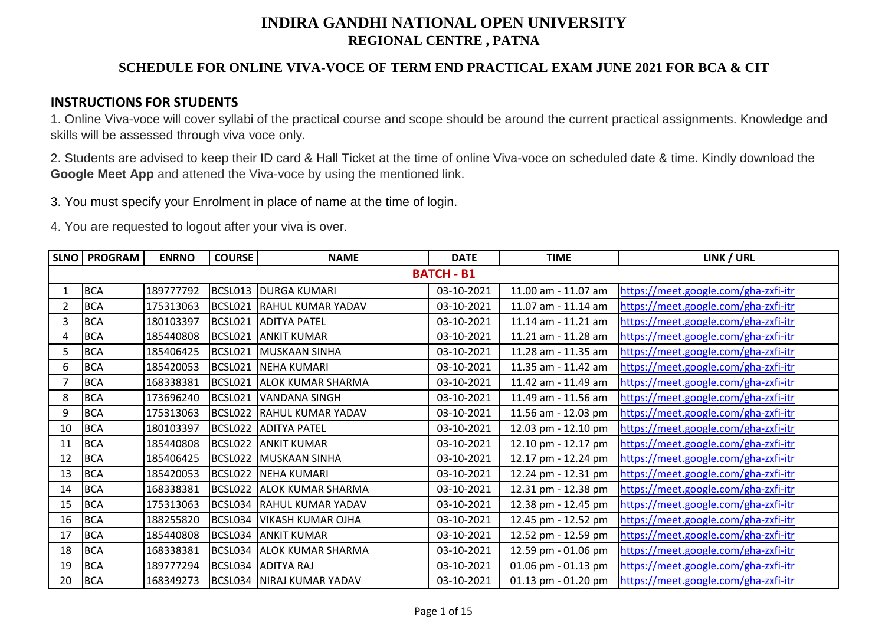## **SCHEDULE FOR ONLINE VIVA-VOCE OF TERM END PRACTICAL EXAM JUNE 2021 FOR BCA & CIT**

### **INSTRUCTIONS FOR STUDENTS**

1. Online Viva-voce will cover syllabi of the practical course and scope should be around the current practical assignments. Knowledge and skills will be assessed through viva voce only.

2. Students are advised to keep their ID card & Hall Ticket at the time of online Viva-voce on scheduled date & time. Kindly download the **Google Meet App** and attened the Viva-voce by using the mentioned link.

3. You must specify your Enrolment in place of name at the time of login.

| SLNO           | <b>PROGRAM</b> | <b>ENRNO</b> | <b>COURSE</b> | <b>NAME</b>                 | <b>DATE</b> | <b>TIME</b>         | LINK / URL                           |
|----------------|----------------|--------------|---------------|-----------------------------|-------------|---------------------|--------------------------------------|
|                |                |              |               |                             |             |                     |                                      |
| 1              | <b>BCA</b>     | 189777792    |               | BCSL013 DURGA KUMARI        | 03-10-2021  | 11.00 am - 11.07 am | https://meet.google.com/gha-zxfi-itr |
| $\overline{2}$ | <b>BCA</b>     | 175313063    |               | BCSL021 RAHUL KUMAR YADAV   | 03-10-2021  | 11.07 am - 11.14 am | https://meet.google.com/gha-zxfi-itr |
| 3              | <b>BCA</b>     | 180103397    |               | BCSL021 ADITYA PATEL        | 03-10-2021  | 11.14 am - 11.21 am | https://meet.google.com/gha-zxfi-itr |
| 4              | <b>BCA</b>     | 185440808    |               | BCSL021 ANKIT KUMAR         | 03-10-2021  | 11.21 am - 11.28 am | https://meet.google.com/gha-zxfi-itr |
| 5              | <b>BCA</b>     | 185406425    | BCSL021       | MUSKAAN SINHA               | 03-10-2021  | 11.28 am - 11.35 am | https://meet.google.com/gha-zxfi-itr |
| 6              | <b>BCA</b>     | 185420053    | BCSL021       | <b>NEHA KUMARI</b>          | 03-10-2021  | 11.35 am - 11.42 am | https://meet.google.com/gha-zxfi-itr |
|                | <b>BCA</b>     | 168338381    |               | BCSL021 ALOK KUMAR SHARMA   | 03-10-2021  | 11.42 am - 11.49 am | https://meet.google.com/gha-zxfi-itr |
| 8              | <b>BCA</b>     | 173696240    | BCSL021       | VANDANA SINGH               | 03-10-2021  | 11.49 am - 11.56 am | https://meet.google.com/gha-zxfi-itr |
| 9              | <b>BCA</b>     | 175313063    |               | BCSL022 RAHUL KUMAR YADAV   | 03-10-2021  | 11.56 am - 12.03 pm | https://meet.google.com/gha-zxfi-itr |
| 10             | <b>BCA</b>     | 180103397    |               | BCSL022 ADITYA PATEL        | 03-10-2021  | 12.03 pm - 12.10 pm | https://meet.google.com/gha-zxfi-itr |
| 11             | <b>BCA</b>     | 185440808    |               | BCSL022 ANKIT KUMAR         | 03-10-2021  | 12.10 pm - 12.17 pm | https://meet.google.com/gha-zxfi-itr |
| 12             | <b>BCA</b>     | 185406425    |               | BCSL022 MUSKAAN SINHA       | 03-10-2021  | 12.17 pm - 12.24 pm | https://meet.google.com/gha-zxfi-itr |
| 13             | <b>BCA</b>     | 185420053    |               | BCSL022 NEHA KUMARI         | 03-10-2021  | 12.24 pm - 12.31 pm | https://meet.google.com/gha-zxfi-itr |
| 14             | <b>BCA</b>     | 168338381    |               | BCSL022 ALOK KUMAR SHARMA   | 03-10-2021  | 12.31 pm - 12.38 pm | https://meet.google.com/gha-zxfi-itr |
| 15             | <b>BCA</b>     | 175313063    |               | BCSL034 RAHUL KUMAR YADAV   | 03-10-2021  | 12.38 pm - 12.45 pm | https://meet.google.com/gha-zxfi-itr |
| 16             | <b>BCA</b>     | 188255820    |               | BCSL034 VIKASH KUMAR OJHA   | 03-10-2021  | 12.45 pm - 12.52 pm | https://meet.google.com/gha-zxfi-itr |
| 17             | <b>BCA</b>     | 185440808    |               | BCSL034 ANKIT KUMAR         | 03-10-2021  | 12.52 pm - 12.59 pm | https://meet.google.com/gha-zxfi-itr |
| 18             | <b>BCA</b>     | 168338381    |               | BCSL034 ALOK KUMAR SHARMA   | 03-10-2021  | 12.59 pm - 01.06 pm | https://meet.google.com/gha-zxfi-itr |
| 19             | <b>BCA</b>     | 189777294    |               | BCSL034 ADITYA RAJ          | 03-10-2021  | 01.06 pm - 01.13 pm | https://meet.google.com/gha-zxfi-itr |
| 20             | <b>BCA</b>     | 168349273    |               | BCSL034   NIRAJ KUMAR YADAV | 03-10-2021  | 01.13 pm - 01.20 pm | https://meet.google.com/gha-zxfi-itr |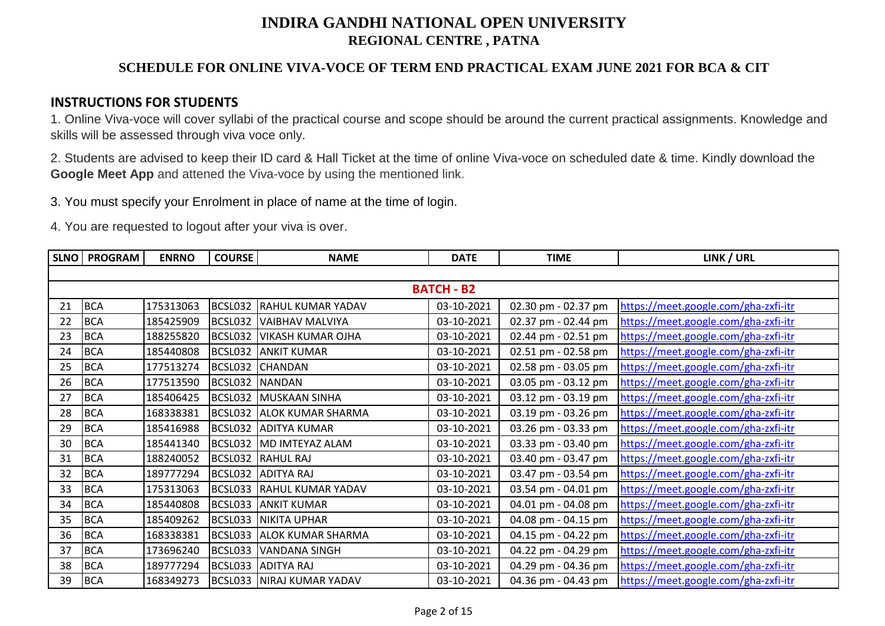## **SCHEDULE FOR ONLINE VIVA-VOCE OF TERM END PRACTICAL EXAM JUNE 2021 FOR BCA & CIT**

### **INSTRUCTIONS FOR STUDENTS**

1. Online Viva-voce will cover syllabi of the practical course and scope should be around the current practical assignments. Knowledge and skills will be assessed through viva voce only.

2. Students are advised to keep their ID card & Hall Ticket at the time of online Viva-voce on scheduled date & time. Kindly download the **Google Meet App** and attened the Viva-voce by using the mentioned link.

3. You must specify your Enrolment in place of name at the time of login.

| <b>SLNO</b> | <b>PROGRAM</b>    | <b>ENRNO</b> | <b>COURSE</b>  | <b>NAME</b>               | <b>DATE</b> | <b>TIME</b>         | LINK / URL                           |  |  |  |  |  |
|-------------|-------------------|--------------|----------------|---------------------------|-------------|---------------------|--------------------------------------|--|--|--|--|--|
|             |                   |              |                |                           |             |                     |                                      |  |  |  |  |  |
|             | <b>BATCH - B2</b> |              |                |                           |             |                     |                                      |  |  |  |  |  |
| 21          | <b>BCA</b>        | 175313063    |                | BCSL032 RAHUL KUMAR YADAV | 03-10-2021  | 02.30 pm - 02.37 pm | https://meet.google.com/gha-zxfi-itr |  |  |  |  |  |
| 22          | <b>BCA</b>        | 185425909    |                | BCSL032 VAIBHAV MALVIYA   | 03-10-2021  | 02.37 pm - 02.44 pm | https://meet.google.com/gha-zxfi-itr |  |  |  |  |  |
| 23          | <b>BCA</b>        | 188255820    |                | BCSL032 VIKASH KUMAR OJHA | 03-10-2021  | 02.44 pm - 02.51 pm | https://meet.google.com/gha-zxfi-itr |  |  |  |  |  |
| 24          | <b>BCA</b>        | 185440808    |                | BCSL032 ANKIT KUMAR       | 03-10-2021  | 02.51 pm - 02.58 pm | https://meet.google.com/gha-zxfi-itr |  |  |  |  |  |
| 25          | <b>BCA</b>        | 177513274    |                | BCSL032 CHANDAN           | 03-10-2021  | 02.58 pm - 03.05 pm | https://meet.google.com/gha-zxfi-itr |  |  |  |  |  |
| 26          | <b>BCA</b>        | 177513590    | BCSL032 NANDAN |                           | 03-10-2021  | 03.05 pm - 03.12 pm | https://meet.google.com/gha-zxfi-itr |  |  |  |  |  |
| 27          | <b>BCA</b>        | 185406425    |                | BCSL032 MUSKAAN SINHA     | 03-10-2021  | 03.12 pm - 03.19 pm | https://meet.google.com/gha-zxfi-itr |  |  |  |  |  |
| 28          | <b>BCA</b>        | 168338381    |                | BCSL032 ALOK KUMAR SHARMA | 03-10-2021  | 03.19 pm - 03.26 pm | https://meet.google.com/gha-zxfi-itr |  |  |  |  |  |
| 29          | <b>BCA</b>        | 185416988    |                | BCSL032 ADITYA KUMAR      | 03-10-2021  | 03.26 pm - 03.33 pm | https://meet.google.com/gha-zxfi-itr |  |  |  |  |  |
| 30          | <b>BCA</b>        | 185441340    |                | BCSL032 MD IMTEYAZ ALAM   | 03-10-2021  | 03.33 pm - 03.40 pm | https://meet.google.com/gha-zxfi-itr |  |  |  |  |  |
| 31          | <b>BCA</b>        | 188240052    |                | BCSL032 RAHUL RAJ         | 03-10-2021  | 03.40 pm - 03.47 pm | https://meet.google.com/gha-zxfi-itr |  |  |  |  |  |
| 32          | <b>BCA</b>        | 189777294    |                | BCSL032 ADITYA RAJ        | 03-10-2021  | 03.47 pm - 03.54 pm | https://meet.google.com/gha-zxfi-itr |  |  |  |  |  |
| 33          | <b>BCA</b>        | 175313063    |                | BCSL033 RAHUL KUMAR YADAV | 03-10-2021  | 03.54 pm - 04.01 pm | https://meet.google.com/gha-zxfi-itr |  |  |  |  |  |
| 34          | <b>BCA</b>        | 185440808    |                | BCSL033 ANKIT KUMAR       | 03-10-2021  | 04.01 pm - 04.08 pm | https://meet.google.com/gha-zxfi-itr |  |  |  |  |  |
| 35          | <b>BCA</b>        | 185409262    |                | BCSL033 NIKITA UPHAR      | 03-10-2021  | 04.08 pm - 04.15 pm | https://meet.google.com/gha-zxfi-itr |  |  |  |  |  |
| 36          | <b>BCA</b>        | 168338381    |                | BCSL033 ALOK KUMAR SHARMA | 03-10-2021  | 04.15 pm - 04.22 pm | https://meet.google.com/gha-zxfi-itr |  |  |  |  |  |
| 37          | <b>BCA</b>        | 173696240    |                | BCSL033 VANDANA SINGH     | 03-10-2021  | 04.22 pm - 04.29 pm | https://meet.google.com/gha-zxfi-itr |  |  |  |  |  |
| 38          | <b>BCA</b>        | 189777294    |                | BCSL033 ADITYA RAJ        | 03-10-2021  | 04.29 pm - 04.36 pm | https://meet.google.com/gha-zxfi-itr |  |  |  |  |  |
| 39          | <b>BCA</b>        | 168349273    |                | BCSL033 NIRAJ KUMAR YADAV | 03-10-2021  | 04.36 pm - 04.43 pm | https://meet.google.com/gha-zxfi-itr |  |  |  |  |  |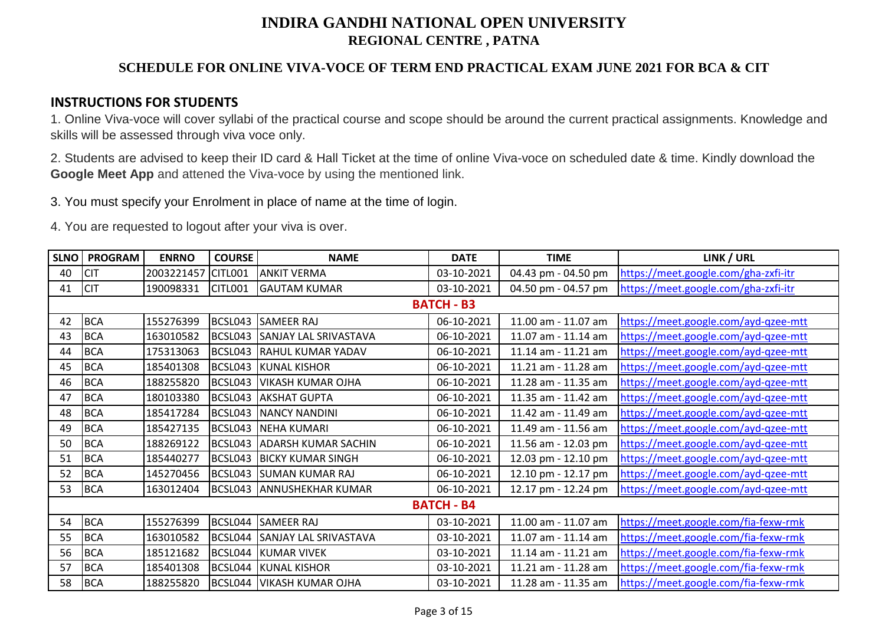## **SCHEDULE FOR ONLINE VIVA-VOCE OF TERM END PRACTICAL EXAM JUNE 2021 FOR BCA & CIT**

### **INSTRUCTIONS FOR STUDENTS**

1. Online Viva-voce will cover syllabi of the practical course and scope should be around the current practical assignments. Knowledge and skills will be assessed through viva voce only.

2. Students are advised to keep their ID card & Hall Ticket at the time of online Viva-voce on scheduled date & time. Kindly download the **Google Meet App** and attened the Viva-voce by using the mentioned link.

3. You must specify your Enrolment in place of name at the time of login.

| <b>SLNO</b> | <b>PROGRAM</b> | <b>ENRNO</b>       | <b>COURSE</b> | <b>NAME</b>                      | <b>DATE</b>       | <b>TIME</b>         | LINK / URL                           |
|-------------|----------------|--------------------|---------------|----------------------------------|-------------------|---------------------|--------------------------------------|
| 40          | <b>CIT</b>     | 2003221457 CITL001 |               | <b>ANKIT VERMA</b>               | 03-10-2021        | 04.43 pm - 04.50 pm | https://meet.google.com/gha-zxfi-itr |
| 41          | <b>CIT</b>     | 190098331          | CITL001       | <b>GAUTAM KUMAR</b>              | 03-10-2021        | 04.50 pm - 04.57 pm | https://meet.google.com/gha-zxfi-itr |
|             |                |                    |               |                                  | <b>BATCH - B3</b> |                     |                                      |
| 42          | <b>BCA</b>     | 155276399          |               | BCSL043 SAMEER RAJ               | 06-10-2021        | 11.00 am - 11.07 am | https://meet.google.com/ayd-qzee-mtt |
| 43          | <b>BCA</b>     | 163010582          |               | BCSL043 SANJAY LAL SRIVASTAVA    | 06-10-2021        | 11.07 am - 11.14 am | https://meet.google.com/ayd-qzee-mtt |
| 44          | <b>BCA</b>     | 175313063          |               | BCSL043 RAHUL KUMAR YADAV        | 06-10-2021        | 11.14 am - 11.21 am | https://meet.google.com/ayd-qzee-mtt |
| 45          | <b>BCA</b>     | 185401308          |               | BCSL043 KUNAL KISHOR             | 06-10-2021        | 11.21 am - 11.28 am | https://meet.google.com/ayd-qzee-mtt |
| 46          | <b>BCA</b>     | 188255820          |               | BCSL043   VIKASH KUMAR OJHA      | 06-10-2021        | 11.28 am - 11.35 am | https://meet.google.com/ayd-qzee-mtt |
| 47          | <b>BCA</b>     | 180103380          |               | BCSL043 AKSHAT GUPTA             | 06-10-2021        | 11.35 am - 11.42 am | https://meet.google.com/ayd-qzee-mtt |
| 48          | <b>BCA</b>     | 185417284          |               | BCSL043 NANCY NANDINI            | 06-10-2021        | 11.42 am - 11.49 am | https://meet.google.com/ayd-qzee-mtt |
| 49          | <b>BCA</b>     | 185427135          |               | BCSL043 NEHA KUMARI              | 06-10-2021        | 11.49 am - 11.56 am | https://meet.google.com/ayd-qzee-mtt |
| 50          | <b>BCA</b>     | 188269122          |               | BCSL043 ADARSH KUMAR SACHIN      | 06-10-2021        | 11.56 am - 12.03 pm | https://meet.google.com/ayd-qzee-mtt |
| 51          | <b>BCA</b>     | 185440277          |               | <b>BCSL043 BICKY KUMAR SINGH</b> | 06-10-2021        | 12.03 pm - 12.10 pm | https://meet.google.com/ayd-qzee-mtt |
| 52          | <b>BCA</b>     | 145270456          |               | BCSL043 SUMAN KUMAR RAJ          | 06-10-2021        | 12.10 pm - 12.17 pm | https://meet.google.com/ayd-qzee-mtt |
| 53          | <b>BCA</b>     | 163012404          |               | BCSL043 ANNUSHEKHAR KUMAR        | 06-10-2021        | 12.17 pm - 12.24 pm | https://meet.google.com/ayd-qzee-mtt |
|             |                |                    |               |                                  | <b>BATCH - B4</b> |                     |                                      |
| 54          | <b>BCA</b>     | 155276399          |               | BCSL044 SAMEER RAJ               | 03-10-2021        | 11.00 am - 11.07 am | https://meet.google.com/fia-fexw-rmk |
| 55          | <b>BCA</b>     | 163010582          |               | BCSL044 SANJAY LAL SRIVASTAVA    | 03-10-2021        | 11.07 am - 11.14 am | https://meet.google.com/fia-fexw-rmk |
| 56          | <b>BCA</b>     | 185121682          |               | BCSL044 KUMAR VIVEK              | 03-10-2021        | 11.14 am - 11.21 am | https://meet.google.com/fia-fexw-rmk |
| 57          | <b>BCA</b>     | 185401308          |               | BCSL044 KUNAL KISHOR             | 03-10-2021        | 11.21 am - 11.28 am | https://meet.google.com/fia-fexw-rmk |
| 58          | <b>BCA</b>     | 188255820          |               | BCSL044   VIKASH KUMAR OJHA      | 03-10-2021        | 11.28 am - 11.35 am | https://meet.google.com/fia-fexw-rmk |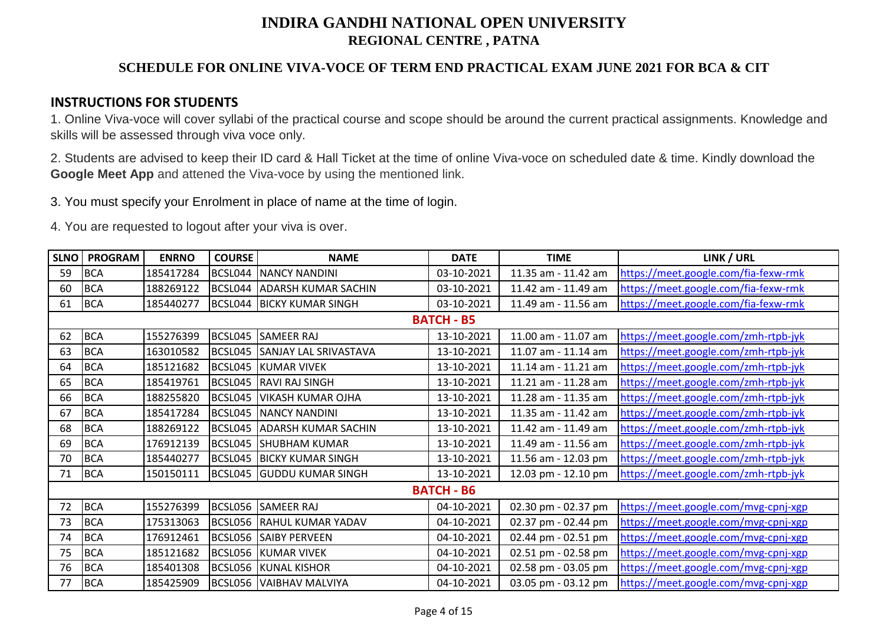## **SCHEDULE FOR ONLINE VIVA-VOCE OF TERM END PRACTICAL EXAM JUNE 2021 FOR BCA & CIT**

### **INSTRUCTIONS FOR STUDENTS**

1. Online Viva-voce will cover syllabi of the practical course and scope should be around the current practical assignments. Knowledge and skills will be assessed through viva voce only.

2. Students are advised to keep their ID card & Hall Ticket at the time of online Viva-voce on scheduled date & time. Kindly download the **Google Meet App** and attened the Viva-voce by using the mentioned link.

3. You must specify your Enrolment in place of name at the time of login.

| <b>SLNO</b> | <b>PROGRAM</b> | <b>ENRNO</b> | <b>COURSE</b> | <b>NAME</b>                      | <b>DATE</b>       | <b>TIME</b>         | LINK / URL                           |
|-------------|----------------|--------------|---------------|----------------------------------|-------------------|---------------------|--------------------------------------|
| 59          | <b>BCA</b>     | 185417284    |               | <b>BCSL044 NANCY NANDINI</b>     | 03-10-2021        | 11.35 am - 11.42 am | https://meet.google.com/fia-fexw-rmk |
| 60          | <b>BCA</b>     | 188269122    |               | BCSL044 ADARSH KUMAR SACHIN      | 03-10-2021        | 11.42 am - 11.49 am | https://meet.google.com/fia-fexw-rmk |
| 61          | <b>BCA</b>     | 185440277    |               | <b>BCSL044 BICKY KUMAR SINGH</b> | 03-10-2021        | 11.49 am - 11.56 am | https://meet.google.com/fia-fexw-rmk |
|             |                |              |               |                                  | <b>BATCH - B5</b> |                     |                                      |
| 62          | <b>BCA</b>     | 155276399    |               | BCSL045 SAMEER RAJ               | 13-10-2021        | 11.00 am - 11.07 am | https://meet.google.com/zmh-rtpb-jyk |
| 63          | <b>BCA</b>     | 163010582    |               | BCSL045 SANJAY LAL SRIVASTAVA    | 13-10-2021        | 11.07 am - 11.14 am | https://meet.google.com/zmh-rtpb-jyk |
| 64          | <b>BCA</b>     | 185121682    |               | BCSL045 KUMAR VIVEK              | 13-10-2021        | 11.14 am - 11.21 am | https://meet.google.com/zmh-rtpb-jyk |
| 65          | <b>BCA</b>     | 185419761    |               | BCSL045 RAVI RAJ SINGH           | 13-10-2021        | 11.21 am - 11.28 am | https://meet.google.com/zmh-rtpb-jyk |
| 66          | <b>BCA</b>     | 188255820    |               | BCSL045   VIKASH KUMAR OJHA      | 13-10-2021        | 11.28 am - 11.35 am | https://meet.google.com/zmh-rtpb-jyk |
| 67          | <b>BCA</b>     | 185417284    |               | <b>BCSL045 NANCY NANDINI</b>     | 13-10-2021        | 11.35 am - 11.42 am | https://meet.google.com/zmh-rtpb-jyk |
| 68          | <b>BCA</b>     | 188269122    |               | BCSL045 ADARSH KUMAR SACHIN      | 13-10-2021        | 11.42 am - 11.49 am | https://meet.google.com/zmh-rtpb-jyk |
| 69          | <b>BCA</b>     | 176912139    |               | BCSL045 SHUBHAM KUMAR            | 13-10-2021        | 11.49 am - 11.56 am | https://meet.google.com/zmh-rtpb-jyk |
| 70          | <b>BCA</b>     | 185440277    |               | <b>BCSL045 BICKY KUMAR SINGH</b> | 13-10-2021        | 11.56 am - 12.03 pm | https://meet.google.com/zmh-rtpb-jyk |
| 71          | <b>BCA</b>     | 150150111    |               | BCSL045 GUDDU KUMAR SINGH        | 13-10-2021        | 12.03 pm - 12.10 pm | https://meet.google.com/zmh-rtpb-jyk |
|             |                |              |               |                                  | <b>BATCH - B6</b> |                     |                                      |
| 72          | <b>BCA</b>     | 155276399    |               | BCSL056 SAMEER RAJ               | 04-10-2021        | 02.30 pm - 02.37 pm | https://meet.google.com/mvg-cpnj-xgp |
| 73          | <b>BCA</b>     | 175313063    |               | BCSL056 RAHUL KUMAR YADAV        | 04-10-2021        | 02.37 pm - 02.44 pm | https://meet.google.com/mvg-cpnj-xgp |
| 74          | <b>BCA</b>     | 176912461    |               | BCSL056 SAIBY PERVEEN            | 04-10-2021        | 02.44 pm - 02.51 pm | https://meet.google.com/mvg-cpnj-xgp |
| 75          | <b>BCA</b>     | 185121682    |               | BCSL056 KUMAR VIVEK              | 04-10-2021        | 02.51 pm - 02.58 pm | https://meet.google.com/mvg-cpnj-xgp |
| 76          | <b>BCA</b>     | 185401308    |               | <b>BCSL056 KUNAL KISHOR</b>      | 04-10-2021        | 02.58 pm - 03.05 pm | https://meet.google.com/mvg-cpnj-xgp |
| 77          | <b>BCA</b>     | 185425909    |               | BCSL056 VAIBHAV MALVIYA          | 04-10-2021        | 03.05 pm - 03.12 pm | https://meet.google.com/mvg-cpnj-xgp |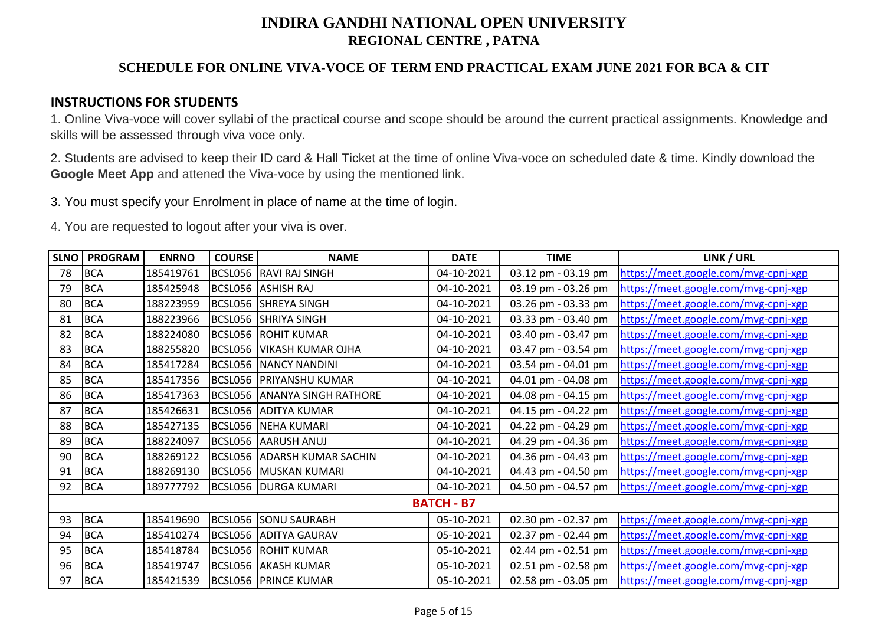## **SCHEDULE FOR ONLINE VIVA-VOCE OF TERM END PRACTICAL EXAM JUNE 2021 FOR BCA & CIT**

### **INSTRUCTIONS FOR STUDENTS**

1. Online Viva-voce will cover syllabi of the practical course and scope should be around the current practical assignments. Knowledge and skills will be assessed through viva voce only.

2. Students are advised to keep their ID card & Hall Ticket at the time of online Viva-voce on scheduled date & time. Kindly download the **Google Meet App** and attened the Viva-voce by using the mentioned link.

3. You must specify your Enrolment in place of name at the time of login.

| <b>SLNO</b> | <b>PROGRAM</b> | <b>ENRNO</b> | <b>COURSE</b> | <b>NAME</b>                         | <b>DATE</b>       | <b>TIME</b>         | LINK / URL                           |
|-------------|----------------|--------------|---------------|-------------------------------------|-------------------|---------------------|--------------------------------------|
| 78          | <b>BCA</b>     | 185419761    |               | BCSL056 RAVI RAJ SINGH              | 04-10-2021        | 03.12 pm - 03.19 pm | https://meet.google.com/mvg-cpnj-xgp |
| 79          | <b>BCA</b>     | 185425948    |               | BCSL056 ASHISH RAJ                  | 04-10-2021        | 03.19 pm - 03.26 pm | https://meet.google.com/mvg-cpnj-xgp |
| 80          | <b>BCA</b>     | 188223959    |               | BCSL056 SHREYA SINGH                | 04-10-2021        | 03.26 pm - 03.33 pm | https://meet.google.com/mvg-cpnj-xgp |
| 81          | <b>BCA</b>     | 188223966    |               | BCSL056 SHRIYA SINGH                | 04-10-2021        | 03.33 pm - 03.40 pm | https://meet.google.com/mvg-cpnj-xgp |
| 82          | <b>BCA</b>     | 188224080    |               | <b>BCSL056 ROHIT KUMAR</b>          | 04-10-2021        | 03.40 pm - 03.47 pm | https://meet.google.com/mvg-cpnj-xgp |
| 83          | <b>BCA</b>     | 188255820    |               | BCSL056 VIKASH KUMAR OJHA           | 04-10-2021        | 03.47 pm - 03.54 pm | https://meet.google.com/mvg-cpnj-xgp |
| 84          | <b>BCA</b>     | 185417284    |               | <b>BCSL056 NANCY NANDINI</b>        | 04-10-2021        | 03.54 pm - 04.01 pm | https://meet.google.com/mvg-cpnj-xgp |
| 85          | <b>BCA</b>     | 185417356    |               | BCSL056 PRIYANSHU KUMAR             | 04-10-2021        | 04.01 pm - 04.08 pm | https://meet.google.com/mvg-cpnj-xgp |
| 86          | <b>BCA</b>     | 185417363    |               | <b>BCSL056 ANANYA SINGH RATHORE</b> | 04-10-2021        | 04.08 pm - 04.15 pm | https://meet.google.com/mvg-cpnj-xgp |
| 87          | <b>BCA</b>     | 185426631    |               | BCSL056 ADITYA KUMAR                | 04-10-2021        | 04.15 pm - 04.22 pm | https://meet.google.com/mvg-cpnj-xgp |
| 88          | <b>BCA</b>     | 185427135    |               | BCSL056 NEHA KUMARI                 | 04-10-2021        | 04.22 pm - 04.29 pm | https://meet.google.com/mvg-cpnj-xgp |
| 89          | <b>BCA</b>     | 188224097    |               | BCSL056 AARUSH ANUJ                 | 04-10-2021        | 04.29 pm - 04.36 pm | https://meet.google.com/mvg-cpnj-xgp |
| 90          | <b>BCA</b>     | 188269122    |               | BCSL056 ADARSH KUMAR SACHIN         | 04-10-2021        | 04.36 pm - 04.43 pm | https://meet.google.com/mvg-cpnj-xgp |
| 91          | <b>BCA</b>     | 188269130    |               | BCSL056 MUSKAN KUMARI               | 04-10-2021        | 04.43 pm - 04.50 pm | https://meet.google.com/mvg-cpnj-xgp |
| 92          | <b>BCA</b>     | 189777792    |               | BCSL056   DURGA KUMARI              | 04-10-2021        | 04.50 pm - 04.57 pm | https://meet.google.com/mvg-cpnj-xgp |
|             |                |              |               |                                     | <b>BATCH - B7</b> |                     |                                      |
| 93          | <b>BCA</b>     | 185419690    |               | BCSL056 SONU SAURABH                | 05-10-2021        | 02.30 pm - 02.37 pm | https://meet.google.com/mvg-cpnj-xgp |
| 94          | <b>BCA</b>     | 185410274    |               | BCSL056 ADITYA GAURAV               | 05-10-2021        | 02.37 pm - 02.44 pm | https://meet.google.com/mvg-cpnj-xgp |
| 95          | <b>BCA</b>     | 185418784    |               | <b>BCSL056 ROHIT KUMAR</b>          | 05-10-2021        | 02.44 pm - 02.51 pm | https://meet.google.com/mvg-cpnj-xgp |
| 96          | <b>BCA</b>     | 185419747    |               | BCSL056 AKASH KUMAR                 | 05-10-2021        | 02.51 pm - 02.58 pm | https://meet.google.com/mvg-cpnj-xgp |
| 97          | <b>BCA</b>     | 185421539    |               | <b>BCSL056 PRINCE KUMAR</b>         | 05-10-2021        | 02.58 pm - 03.05 pm | https://meet.google.com/mvg-cpnj-xgp |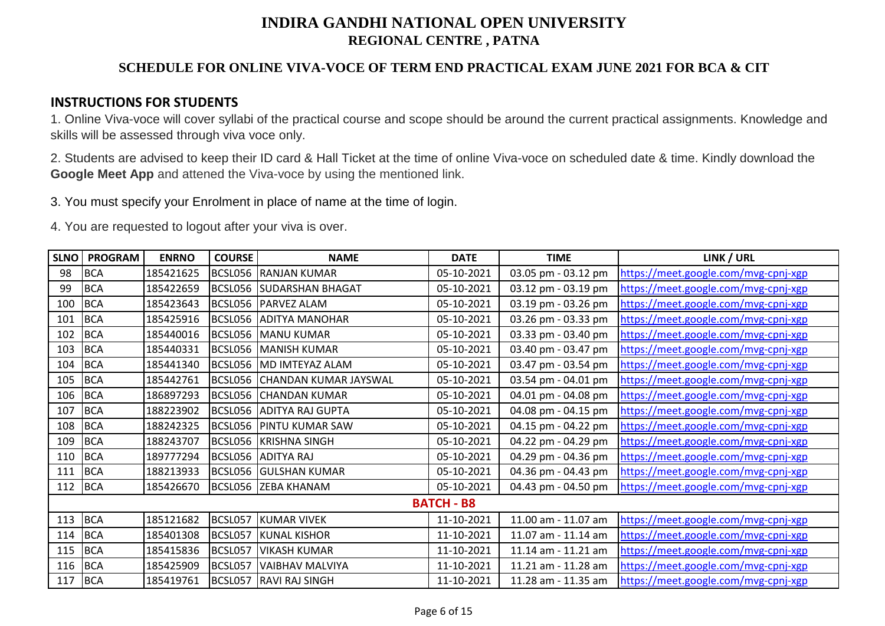## **SCHEDULE FOR ONLINE VIVA-VOCE OF TERM END PRACTICAL EXAM JUNE 2021 FOR BCA & CIT**

### **INSTRUCTIONS FOR STUDENTS**

1. Online Viva-voce will cover syllabi of the practical course and scope should be around the current practical assignments. Knowledge and skills will be assessed through viva voce only.

2. Students are advised to keep their ID card & Hall Ticket at the time of online Viva-voce on scheduled date & time. Kindly download the **Google Meet App** and attened the Viva-voce by using the mentioned link.

3. You must specify your Enrolment in place of name at the time of login.

| <b>SLNO</b> | <b>PROGRAM</b> | <b>ENRNO</b> | <b>COURSE</b> | <b>NAME</b>                     | <b>DATE</b>       | <b>TIME</b>         | LINK / URL                           |
|-------------|----------------|--------------|---------------|---------------------------------|-------------------|---------------------|--------------------------------------|
| 98          | <b>BCA</b>     | 185421625    |               | BCSL056 RANJAN KUMAR            | 05-10-2021        | 03.05 pm - 03.12 pm | https://meet.google.com/mvg-cpnj-xgp |
| 99          | <b>BCA</b>     | 185422659    |               | <b>BCSL056 SUDARSHAN BHAGAT</b> | 05-10-2021        | 03.12 pm - 03.19 pm | https://meet.google.com/mvg-cpnj-xgp |
| 100         | <b>BCA</b>     | 185423643    |               | BCSL056 PARVEZ ALAM             | 05-10-2021        | 03.19 pm - 03.26 pm | https://meet.google.com/mvg-cpnj-xgp |
| 101         | <b>BCA</b>     | 185425916    |               | BCSL056 ADITYA MANOHAR          | 05-10-2021        | 03.26 pm - 03.33 pm | https://meet.google.com/mvg-cpnj-xgp |
| 102         | <b>BCA</b>     | 185440016    |               | BCSL056   MANU KUMAR            | 05-10-2021        | 03.33 pm - 03.40 pm | https://meet.google.com/mvg-cpnj-xgp |
| 103         | <b>BCA</b>     | 185440331    |               | BCSL056   MANISH KUMAR          | 05-10-2021        | 03.40 pm - 03.47 pm | https://meet.google.com/mvg-cpnj-xgp |
| 104         | <b>BCA</b>     | 185441340    |               | BCSL056 MD IMTEYAZ ALAM         | 05-10-2021        | 03.47 pm - 03.54 pm | https://meet.google.com/mvg-cpnj-xgp |
| 105         | <b>BCA</b>     | 185442761    |               | BCSL056 CHANDAN KUMAR JAYSWAL   | 05-10-2021        | 03.54 pm - 04.01 pm | https://meet.google.com/mvg-cpnj-xgp |
| 106         | <b>BCA</b>     | 186897293    |               | <b>BCSL056 CHANDAN KUMAR</b>    | 05-10-2021        | 04.01 pm - 04.08 pm | https://meet.google.com/mvg-cpnj-xgp |
| 107         | <b>BCA</b>     | 188223902    |               | BCSL056 ADITYA RAJ GUPTA        | 05-10-2021        | 04.08 pm - 04.15 pm | https://meet.google.com/mvg-cpnj-xgp |
| 108         | <b>BCA</b>     | 188242325    |               | BCSL056 PINTU KUMAR SAW         | 05-10-2021        | 04.15 pm - 04.22 pm | https://meet.google.com/mvg-cpnj-xgp |
| 109         | <b>BCA</b>     | 188243707    |               | BCSL056 KRISHNA SINGH           | 05-10-2021        | 04.22 pm - 04.29 pm | https://meet.google.com/mvg-cpnj-xgp |
| 110         | <b>BCA</b>     | 189777294    |               | BCSL056 ADITYA RAJ              | 05-10-2021        | 04.29 pm - 04.36 pm | https://meet.google.com/mvg-cpnj-xgp |
| 111         | <b>BCA</b>     | 188213933    |               | BCSL056 GULSHAN KUMAR           | 05-10-2021        | 04.36 pm - 04.43 pm | https://meet.google.com/mvg-cpnj-xgp |
| 112         | BCA            | 185426670    |               | BCSL056 ZEBA KHANAM             | 05-10-2021        | 04.43 pm - 04.50 pm | https://meet.google.com/mvg-cpnj-xgp |
|             |                |              |               |                                 | <b>BATCH - B8</b> |                     |                                      |
| 113         | <b>BCA</b>     | 185121682    |               | BCSL057 KUMAR VIVEK             | 11-10-2021        | 11.00 am - 11.07 am | https://meet.google.com/mvg-cpnj-xgp |
| 114         | <b>BCA</b>     | 185401308    | BCSL057       | <b>KUNAL KISHOR</b>             | 11-10-2021        | 11.07 am - 11.14 am | https://meet.google.com/mvg-cpnj-xgp |
| 115         | <b>BCA</b>     | 185415836    | BCSL057       | <b>VIKASH KUMAR</b>             | 11-10-2021        | 11.14 am - 11.21 am | https://meet.google.com/mvg-cpnj-xgp |
| 116         | <b>BCA</b>     | 185425909    | BCSL057       | <b>VAIBHAV MALVIYA</b>          | 11-10-2021        | 11.21 am - 11.28 am | https://meet.google.com/mvg-cpnj-xgp |
| 117         | <b>BCA</b>     | 185419761    |               | BCSL057 RAVI RAJ SINGH          | 11-10-2021        | 11.28 am - 11.35 am | https://meet.google.com/mvg-cpnj-xgp |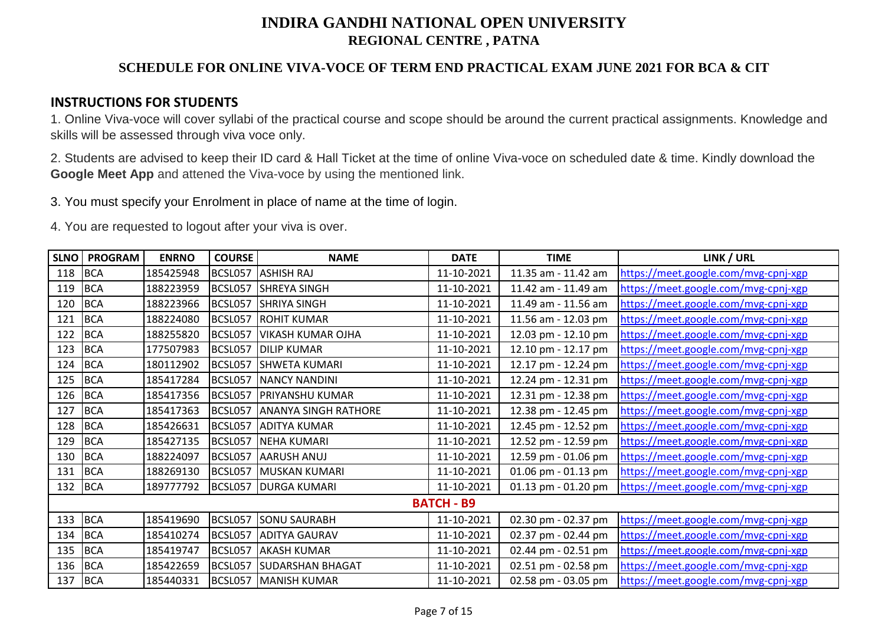## **SCHEDULE FOR ONLINE VIVA-VOCE OF TERM END PRACTICAL EXAM JUNE 2021 FOR BCA & CIT**

### **INSTRUCTIONS FOR STUDENTS**

1. Online Viva-voce will cover syllabi of the practical course and scope should be around the current practical assignments. Knowledge and skills will be assessed through viva voce only.

2. Students are advised to keep their ID card & Hall Ticket at the time of online Viva-voce on scheduled date & time. Kindly download the **Google Meet App** and attened the Viva-voce by using the mentioned link.

3. You must specify your Enrolment in place of name at the time of login.

| <b>SLNO</b> | <b>PROGRAM</b> | <b>ENRNO</b> | <b>COURSE</b> | <b>NAME</b>                 | <b>DATE</b>       | <b>TIME</b>         | LINK / URL                           |
|-------------|----------------|--------------|---------------|-----------------------------|-------------------|---------------------|--------------------------------------|
| 118         | <b>BCA</b>     | 185425948    | BCSL057       | <b>ASHISH RAJ</b>           | 11-10-2021        | 11.35 am - 11.42 am | https://meet.google.com/mvg-cpnj-xgp |
| 119         | <b>BCA</b>     | 188223959    | BCSL057       | <b>SHREYA SINGH</b>         | 11-10-2021        | 11.42 am - 11.49 am | https://meet.google.com/mvg-cpnj-xgp |
| 120         | <b>BCA</b>     | 188223966    | BCSL057       | <b>SHRIYA SINGH</b>         | 11-10-2021        | 11.49 am - 11.56 am | https://meet.google.com/mvg-cpnj-xgp |
| 121         | <b>BCA</b>     | 188224080    | BCSL057       | <b>ROHIT KUMAR</b>          | 11-10-2021        | 11.56 am - 12.03 pm | https://meet.google.com/mvg-cpnj-xgp |
| 122         | <b>BCA</b>     | 188255820    | BCSL057       | <b>VIKASH KUMAR OJHA</b>    | 11-10-2021        | 12.03 pm - 12.10 pm | https://meet.google.com/mvg-cpnj-xgp |
| 123         | <b>BCA</b>     | 177507983    | BCSL057       | <b>DILIP KUMAR</b>          | 11-10-2021        | 12.10 pm - 12.17 pm | https://meet.google.com/mvg-cpnj-xgp |
| 124         | <b>BCA</b>     | 180112902    | BCSL057       | <b>SHWETA KUMARI</b>        | 11-10-2021        | 12.17 pm - 12.24 pm | https://meet.google.com/mvg-cpnj-xgp |
| 125         | <b>BCA</b>     | 185417284    | BCSL057       | <b>NANCY NANDINI</b>        | 11-10-2021        | 12.24 pm - 12.31 pm | https://meet.google.com/mvg-cpnj-xgp |
| 126         | <b>BCA</b>     | 185417356    | BCSL057       | <b>PRIYANSHU KUMAR</b>      | 11-10-2021        | 12.31 pm - 12.38 pm | https://meet.google.com/mvg-cpnj-xgp |
| 127         | <b>BCA</b>     | 185417363    | BCSL057       | <b>ANANYA SINGH RATHORE</b> | 11-10-2021        | 12.38 pm - 12.45 pm | https://meet.google.com/mvg-cpnj-xgp |
| 128         | <b>BCA</b>     | 185426631    | BCSL057       | <b>ADITYA KUMAR</b>         | 11-10-2021        | 12.45 pm - 12.52 pm | https://meet.google.com/mvg-cpnj-xgp |
| 129         | <b>BCA</b>     | 185427135    | BCSL057       | <b>NEHA KUMARI</b>          | 11-10-2021        | 12.52 pm - 12.59 pm | https://meet.google.com/mvg-cpnj-xgp |
| 130         | <b>BCA</b>     | 188224097    | BCSL057       | AARUSH ANUJ                 | 11-10-2021        | 12.59 pm - 01.06 pm | https://meet.google.com/mvg-cpnj-xgp |
| 131         | <b>BCA</b>     | 188269130    | BCSL057       | MUSKAN KUMARI               | 11-10-2021        | 01.06 pm - 01.13 pm | https://meet.google.com/mvg-cpnj-xgp |
| 132         | <b>BCA</b>     | 189777792    | BCSL057       | <b>DURGA KUMARI</b>         | 11-10-2021        | 01.13 pm - 01.20 pm | https://meet.google.com/mvg-cpnj-xgp |
|             |                |              |               |                             | <b>BATCH - B9</b> |                     |                                      |
| 133         | <b>BCA</b>     | 185419690    | BCSL057       | <b>SONU SAURABH</b>         | 11-10-2021        | 02.30 pm - 02.37 pm | https://meet.google.com/mvg-cpnj-xgp |
| 134         | <b>BCA</b>     | 185410274    | BCSL057       | <b>ADITYA GAURAV</b>        | 11-10-2021        | 02.37 pm - 02.44 pm | https://meet.google.com/mvg-cpnj-xgp |
| 135         | <b>BCA</b>     | 185419747    | BCSL057       | <b>AKASH KUMAR</b>          | 11-10-2021        | 02.44 pm - 02.51 pm | https://meet.google.com/mvg-cpnj-xgp |
| 136         | <b>BCA</b>     | 185422659    | BCSL057       | <b>SUDARSHAN BHAGAT</b>     | 11-10-2021        | 02.51 pm - 02.58 pm | https://meet.google.com/mvg-cpnj-xgp |
| 137         | <b>BCA</b>     | 185440331    | BCSL057       | MANISH KUMAR                | 11-10-2021        | 02.58 pm - 03.05 pm | https://meet.google.com/mvg-cpnj-xgp |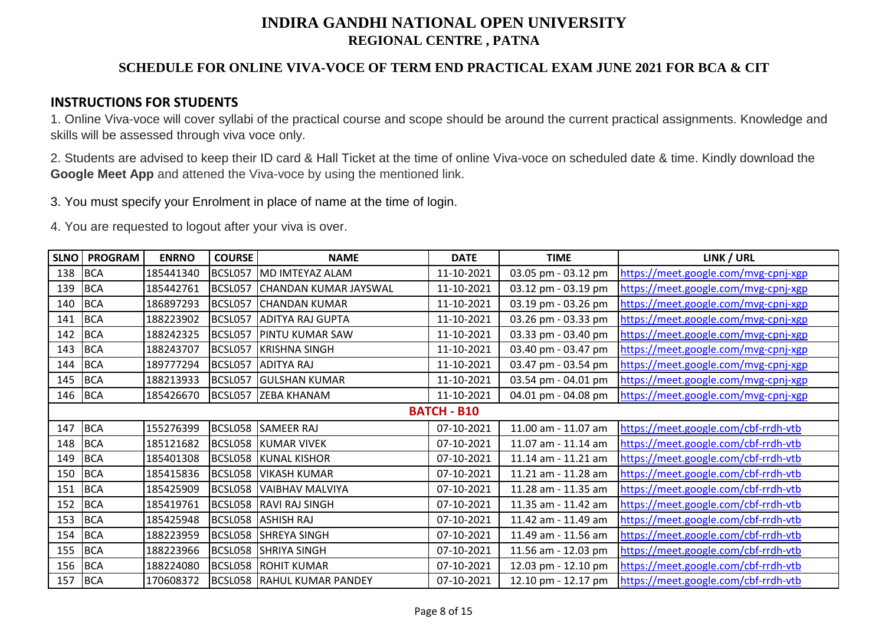## **SCHEDULE FOR ONLINE VIVA-VOCE OF TERM END PRACTICAL EXAM JUNE 2021 FOR BCA & CIT**

### **INSTRUCTIONS FOR STUDENTS**

1. Online Viva-voce will cover syllabi of the practical course and scope should be around the current practical assignments. Knowledge and skills will be assessed through viva voce only.

2. Students are advised to keep their ID card & Hall Ticket at the time of online Viva-voce on scheduled date & time. Kindly download the **Google Meet App** and attened the Viva-voce by using the mentioned link.

3. You must specify your Enrolment in place of name at the time of login.

| <b>SLNO</b>        | <b>PROGRAM</b> | <b>ENRNO</b> | <b>COURSE</b> | <b>NAME</b>                       | <b>DATE</b> | <b>TIME</b>         | LINK / URL                           |  |
|--------------------|----------------|--------------|---------------|-----------------------------------|-------------|---------------------|--------------------------------------|--|
| 138                | <b>BCA</b>     | 185441340    | BCSL057       | MD IMTEYAZ ALAM                   | 11-10-2021  | 03.05 pm - 03.12 pm | https://meet.google.com/mvg-cpnj-xgp |  |
| 139                | <b>BCA</b>     | 185442761    | BCSL057       | CHANDAN KUMAR JAYSWAL             | 11-10-2021  | 03.12 pm - 03.19 pm | https://meet.google.com/mvg-cpnj-xgp |  |
| 140                | <b>BCA</b>     | 186897293    | BCSL057       | <b>CHANDAN KUMAR</b>              | 11-10-2021  | 03.19 pm - 03.26 pm | https://meet.google.com/mvg-cpnj-xgp |  |
| 141                | <b>BCA</b>     | 188223902    | BCSL057       | <b>ADITYA RAJ GUPTA</b>           | 11-10-2021  | 03.26 pm - 03.33 pm | https://meet.google.com/mvg-cpnj-xgp |  |
| 142                | <b>BCA</b>     | 188242325    | BCSL057       | <b>PINTU KUMAR SAW</b>            | 11-10-2021  | 03.33 pm - 03.40 pm | https://meet.google.com/mvg-cpnj-xgp |  |
| 143                | <b>BCA</b>     | 188243707    | BCSL057       | <b>KRISHNA SINGH</b>              | 11-10-2021  | 03.40 pm - 03.47 pm | https://meet.google.com/mvg-cpnj-xgp |  |
| 144                | <b>BCA</b>     | 189777294    | BCSL057       | <b>ADITYA RAJ</b>                 | 11-10-2021  | 03.47 pm - 03.54 pm | https://meet.google.com/mvg-cpnj-xgp |  |
| 145                | <b>BCA</b>     | 188213933    | BCSL057       | <b>GULSHAN KUMAR</b>              | 11-10-2021  | 03.54 pm - 04.01 pm | https://meet.google.com/mvg-cpnj-xgp |  |
| 146                | <b>BCA</b>     | 185426670    |               | BCSL057 ZEBA KHANAM               | 11-10-2021  | 04.01 pm - 04.08 pm | https://meet.google.com/mvg-cpnj-xgp |  |
| <b>BATCH - B10</b> |                |              |               |                                   |             |                     |                                      |  |
| 147                | <b>BCA</b>     | 155276399    |               | BCSL058 SAMEER RAJ                | 07-10-2021  | 11.00 am - 11.07 am | https://meet.google.com/cbf-rrdh-vtb |  |
| 148                | <b>BCA</b>     | 185121682    |               | BCSL058 KUMAR VIVEK               | 07-10-2021  | 11.07 am - 11.14 am | https://meet.google.com/cbf-rrdh-vtb |  |
| 149                | <b>BCA</b>     | 185401308    |               | <b>BCSL058 KUNAL KISHOR</b>       | 07-10-2021  | 11.14 am - 11.21 am | https://meet.google.com/cbf-rrdh-vtb |  |
| 150                | <b>BCA</b>     | 185415836    |               | BCSL058 VIKASH KUMAR              | 07-10-2021  | 11.21 am - 11.28 am | https://meet.google.com/cbf-rrdh-vtb |  |
| 151                | <b>BCA</b>     | 185425909    |               | BCSL058 VAIBHAV MALVIYA           | 07-10-2021  | 11.28 am - 11.35 am | https://meet.google.com/cbf-rrdh-vtb |  |
| 152                | <b>BCA</b>     | 185419761    |               | BCSL058 RAVI RAJ SINGH            | 07-10-2021  | 11.35 am - 11.42 am | https://meet.google.com/cbf-rrdh-vtb |  |
| 153                | <b>BCA</b>     | 185425948    |               | BCSL058 ASHISH RAJ                | 07-10-2021  | 11.42 am - 11.49 am | https://meet.google.com/cbf-rrdh-vtb |  |
| 154                | <b>BCA</b>     | 188223959    |               | BCSL058 SHREYA SINGH              | 07-10-2021  | 11.49 am - 11.56 am | https://meet.google.com/cbf-rrdh-vtb |  |
| 155                | <b>BCA</b>     | 188223966    |               | BCSL058 SHRIYA SINGH              | 07-10-2021  | 11.56 am - 12.03 pm | https://meet.google.com/cbf-rrdh-vtb |  |
| 156                | <b>BCA</b>     | 188224080    |               | <b>BCSL058 ROHIT KUMAR</b>        | 07-10-2021  | 12.03 pm - 12.10 pm | https://meet.google.com/cbf-rrdh-vtb |  |
| 157                | <b>BCA</b>     | 170608372    |               | <b>BCSL058 RAHUL KUMAR PANDEY</b> | 07-10-2021  | 12.10 pm - 12.17 pm | https://meet.google.com/cbf-rrdh-vtb |  |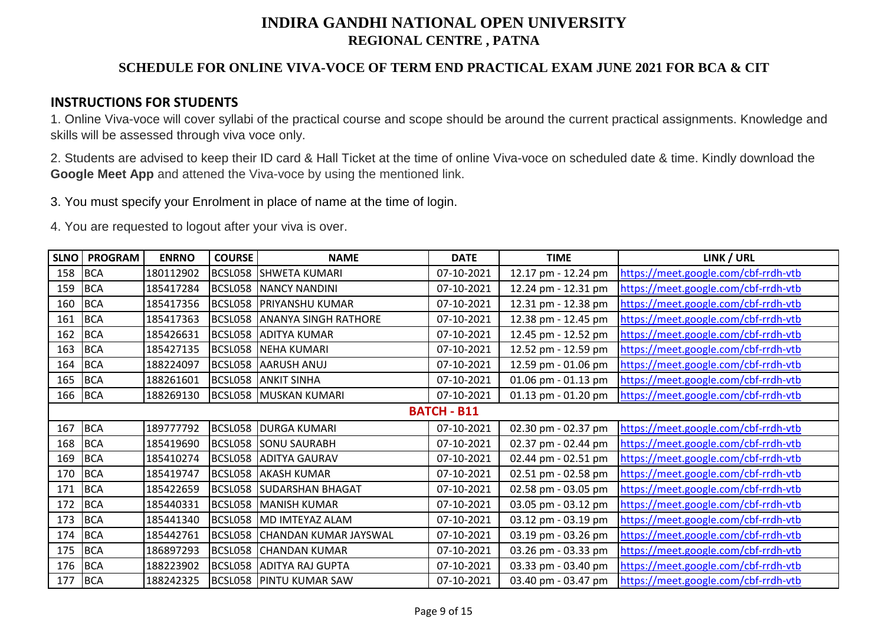## **SCHEDULE FOR ONLINE VIVA-VOCE OF TERM END PRACTICAL EXAM JUNE 2021 FOR BCA & CIT**

### **INSTRUCTIONS FOR STUDENTS**

1. Online Viva-voce will cover syllabi of the practical course and scope should be around the current practical assignments. Knowledge and skills will be assessed through viva voce only.

2. Students are advised to keep their ID card & Hall Ticket at the time of online Viva-voce on scheduled date & time. Kindly download the **Google Meet App** and attened the Viva-voce by using the mentioned link.

3. You must specify your Enrolment in place of name at the time of login.

| <b>SLNO</b> | <b>PROGRAM</b> | <b>ENRNO</b> | <b>COURSE</b> | <b>NAME</b>                         | <b>DATE</b> | <b>TIME</b>         | LINK / URL                           |
|-------------|----------------|--------------|---------------|-------------------------------------|-------------|---------------------|--------------------------------------|
| 158         | <b>BCA</b>     | 180112902    |               | BCSL058 SHWETA KUMARI               | 07-10-2021  | 12.17 pm - 12.24 pm | https://meet.google.com/cbf-rrdh-vtb |
| 159         | <b>BCA</b>     | 185417284    |               | <b>BCSL058 NANCY NANDINI</b>        | 07-10-2021  | 12.24 pm - 12.31 pm | https://meet.google.com/cbf-rrdh-vtb |
| 160         | <b>BCA</b>     | 185417356    |               | BCSL058 PRIYANSHU KUMAR             | 07-10-2021  | 12.31 pm - 12.38 pm | https://meet.google.com/cbf-rrdh-vtb |
| 161         | <b>BCA</b>     | 185417363    |               | <b>BCSL058 ANANYA SINGH RATHORE</b> | 07-10-2021  | 12.38 pm - 12.45 pm | https://meet.google.com/cbf-rrdh-vtb |
| 162         | <b>BCA</b>     | 185426631    |               | BCSL058 ADITYA KUMAR                | 07-10-2021  | 12.45 pm - 12.52 pm | https://meet.google.com/cbf-rrdh-vtb |
| 163         | <b>BCA</b>     | 185427135    |               | BCSL058 NEHA KUMARI                 | 07-10-2021  | 12.52 pm - 12.59 pm | https://meet.google.com/cbf-rrdh-vtb |
| 164         | <b>BCA</b>     | 188224097    |               | BCSL058 AARUSH ANUJ                 | 07-10-2021  | 12.59 pm - 01.06 pm | https://meet.google.com/cbf-rrdh-vtb |
| 165         | <b>BCA</b>     | 188261601    |               | <b>BCSL058 ANKIT SINHA</b>          | 07-10-2021  | 01.06 pm - 01.13 pm | https://meet.google.com/cbf-rrdh-vtb |
| 166         | <b>BCA</b>     | 188269130    |               | BCSL058 MUSKAN KUMARI               | 07-10-2021  | 01.13 pm - 01.20 pm | https://meet.google.com/cbf-rrdh-vtb |
|             |                |              |               |                                     |             |                     |                                      |
| 167         | <b>BCA</b>     | 189777792    |               | BCSL058 DURGA KUMARI                | 07-10-2021  | 02.30 pm - 02.37 pm | https://meet.google.com/cbf-rrdh-vtb |
| 168         | <b>BCA</b>     | 185419690    |               | <b>BCSL058 SONU SAURABH</b>         | 07-10-2021  | 02.37 pm - 02.44 pm | https://meet.google.com/cbf-rrdh-vtb |
| 169         | <b>BCA</b>     | 185410274    |               | BCSL058 ADITYA GAURAV               | 07-10-2021  | 02.44 pm - 02.51 pm | https://meet.google.com/cbf-rrdh-vtb |
| 170         | <b>BCA</b>     | 185419747    |               | BCSL058 AKASH KUMAR                 | 07-10-2021  | 02.51 pm - 02.58 pm | https://meet.google.com/cbf-rrdh-vtb |
| 171         | <b>BCA</b>     | 185422659    |               | <b>BCSL058 SUDARSHAN BHAGAT</b>     | 07-10-2021  | 02.58 pm - 03.05 pm | https://meet.google.com/cbf-rrdh-vtb |
| 172         | <b>BCA</b>     | 185440331    |               | <b>BCSL058 MANISH KUMAR</b>         | 07-10-2021  | 03.05 pm - 03.12 pm | https://meet.google.com/cbf-rrdh-vtb |
| 173         | <b>BCA</b>     | 185441340    |               | BCSL058 MD IMTEYAZ ALAM             | 07-10-2021  | 03.12 pm - 03.19 pm | https://meet.google.com/cbf-rrdh-vtb |
| 174         | <b>BCA</b>     | 185442761    |               | BCSL058 CHANDAN KUMAR JAYSWAL       | 07-10-2021  | 03.19 pm - 03.26 pm | https://meet.google.com/cbf-rrdh-vtb |
| 175         | <b>BCA</b>     | 186897293    |               | <b>BCSL058 CHANDAN KUMAR</b>        | 07-10-2021  | 03.26 pm - 03.33 pm | https://meet.google.com/cbf-rrdh-vtb |
| 176         | <b>BCA</b>     | 188223902    |               | BCSL058 ADITYA RAJ GUPTA            | 07-10-2021  | 03.33 pm - 03.40 pm | https://meet.google.com/cbf-rrdh-vtb |
| 177         | <b>BCA</b>     | 188242325    |               | <b>BCSL058 PINTU KUMAR SAW</b>      | 07-10-2021  | 03.40 pm - 03.47 pm | https://meet.google.com/cbf-rrdh-vtb |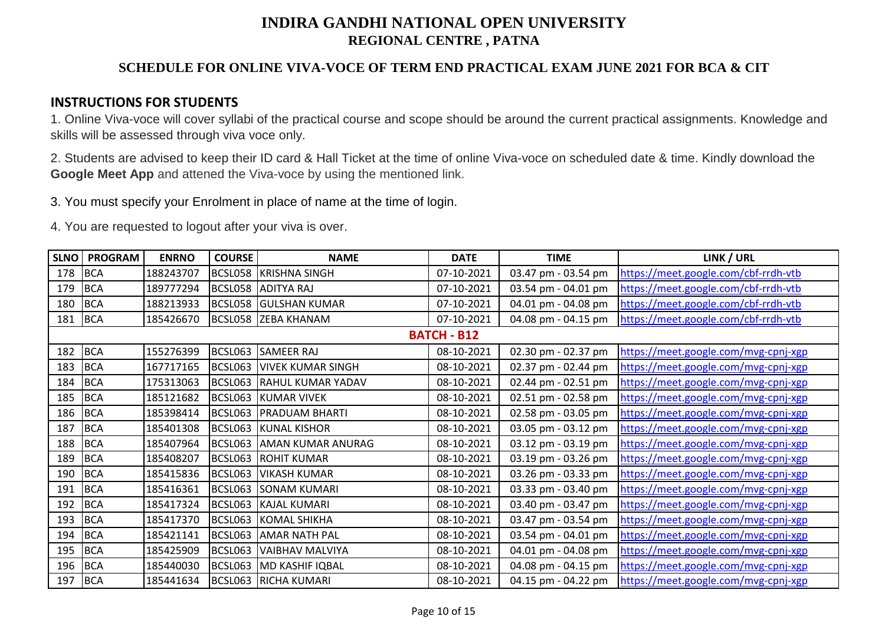## **SCHEDULE FOR ONLINE VIVA-VOCE OF TERM END PRACTICAL EXAM JUNE 2021 FOR BCA & CIT**

### **INSTRUCTIONS FOR STUDENTS**

1. Online Viva-voce will cover syllabi of the practical course and scope should be around the current practical assignments. Knowledge and skills will be assessed through viva voce only.

2. Students are advised to keep their ID card & Hall Ticket at the time of online Viva-voce on scheduled date & time. Kindly download the **Google Meet App** and attened the Viva-voce by using the mentioned link.

3. You must specify your Enrolment in place of name at the time of login.

| <b>SLNO</b> | <b>PROGRAM</b> | <b>ENRNO</b> | <b>COURSE</b> | <b>NAME</b>                      | <b>DATE</b>        | <b>TIME</b>         | LINK / URL                           |
|-------------|----------------|--------------|---------------|----------------------------------|--------------------|---------------------|--------------------------------------|
| 178         | <b>BCA</b>     | 188243707    |               | BCSL058 KRISHNA SINGH            | 07-10-2021         | 03.47 pm - 03.54 pm | https://meet.google.com/cbf-rrdh-vtb |
| 179         | <b>BCA</b>     | 189777294    |               | BCSL058 ADITYA RAJ               | 07-10-2021         | 03.54 pm - 04.01 pm | https://meet.google.com/cbf-rrdh-vtb |
| 180         | <b>BCA</b>     | 188213933    |               | <b>BCSL058 GULSHAN KUMAR</b>     | 07-10-2021         | 04.01 pm - 04.08 pm | https://meet.google.com/cbf-rrdh-vtb |
| 181         | <b>BCA</b>     | 185426670    |               | BCSL058 ZEBA KHANAM              | 07-10-2021         | 04.08 pm - 04.15 pm | https://meet.google.com/cbf-rrdh-vtb |
|             |                |              |               |                                  | <b>BATCH - B12</b> |                     |                                      |
| 182         | <b>BCA</b>     | 155276399    | BCSL063       | <b>SAMEER RAJ</b>                | 08-10-2021         | 02.30 pm - 02.37 pm | https://meet.google.com/mvg-cpnj-xgp |
| 183         | <b>BCA</b>     | 167717165    |               | <b>BCSL063 VIVEK KUMAR SINGH</b> | 08-10-2021         | 02.37 pm - 02.44 pm | https://meet.google.com/mvg-cpnj-xgp |
| 184         | <b>BCA</b>     | 175313063    |               | BCSL063 RAHUL KUMAR YADAV        | 08-10-2021         | 02.44 pm - 02.51 pm | https://meet.google.com/mvg-cpnj-xgp |
| 185         | <b>BCA</b>     | 185121682    |               | BCSL063 KUMAR VIVEK              | 08-10-2021         | 02.51 pm - 02.58 pm | https://meet.google.com/mvg-cpnj-xgp |
| 186         | <b>BCA</b>     | 185398414    |               | BCSL063 PRADUAM BHARTI           | 08-10-2021         | 02.58 pm - 03.05 pm | https://meet.google.com/mvg-cpnj-xgp |
| 187         | <b>BCA</b>     | 185401308    |               | BCSL063 KUNAL KISHOR             | 08-10-2021         | 03.05 pm - 03.12 pm | https://meet.google.com/mvg-cpnj-xgp |
| 188         | <b>BCA</b>     | 185407964    |               | BCSL063 AMAN KUMAR ANURAG        | 08-10-2021         | 03.12 pm - 03.19 pm | https://meet.google.com/mvg-cpnj-xgp |
| 189         | <b>BCA</b>     | 185408207    |               | <b>BCSL063 ROHIT KUMAR</b>       | 08-10-2021         | 03.19 pm - 03.26 pm | https://meet.google.com/mvg-cpnj-xgp |
| 190         | <b>BCA</b>     | 185415836    | BCSL063       | <b>VIKASH KUMAR</b>              | 08-10-2021         | 03.26 pm - 03.33 pm | https://meet.google.com/mvg-cpnj-xgp |
| 191         | <b>BCA</b>     | 185416361    |               | BCSL063 SONAM KUMARI             | 08-10-2021         | 03.33 pm - 03.40 pm | https://meet.google.com/mvg-cpnj-xgp |
| 192         | <b>BCA</b>     | 185417324    |               | BCSL063 KAJAL KUMARI             | 08-10-2021         | 03.40 pm - 03.47 pm | https://meet.google.com/mvg-cpnj-xgp |
| 193         | <b>BCA</b>     | 185417370    | BCSL063       | <b>KOMAL SHIKHA</b>              | 08-10-2021         | 03.47 pm - 03.54 pm | https://meet.google.com/mvg-cpnj-xgp |
| 194         | <b>BCA</b>     | 185421141    |               | BCSL063 AMAR NATH PAL            | 08-10-2021         | 03.54 pm - 04.01 pm | https://meet.google.com/mvg-cpnj-xgp |
| 195         | <b>BCA</b>     | 185425909    | BCSL063       | VAIBHAV MALVIYA                  | 08-10-2021         | 04.01 pm - 04.08 pm | https://meet.google.com/mvg-cpnj-xgp |
| 196         | <b>BCA</b>     | 185440030    | BCSL063       | MD KASHIF IQBAL                  | 08-10-2021         | 04.08 pm - 04.15 pm | https://meet.google.com/mvg-cpnj-xgp |
| 197         | <b>BCA</b>     | 185441634    |               | BCSL063 RICHA KUMARI             | 08-10-2021         | 04.15 pm - 04.22 pm | https://meet.google.com/mvg-cpnj-xgp |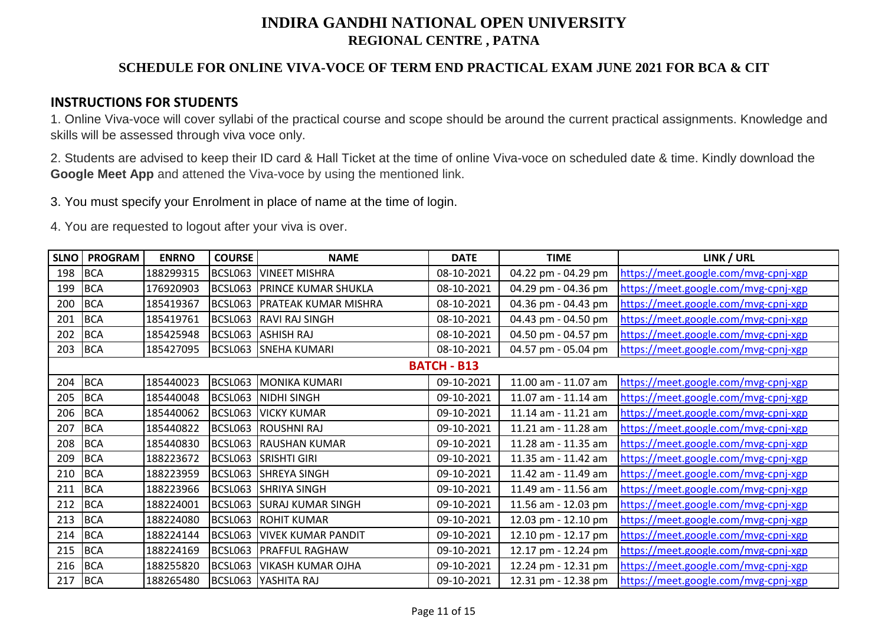## **SCHEDULE FOR ONLINE VIVA-VOCE OF TERM END PRACTICAL EXAM JUNE 2021 FOR BCA & CIT**

### **INSTRUCTIONS FOR STUDENTS**

1. Online Viva-voce will cover syllabi of the practical course and scope should be around the current practical assignments. Knowledge and skills will be assessed through viva voce only.

2. Students are advised to keep their ID card & Hall Ticket at the time of online Viva-voce on scheduled date & time. Kindly download the **Google Meet App** and attened the Viva-voce by using the mentioned link.

3. You must specify your Enrolment in place of name at the time of login.

| <b>SLNO</b> | <b>PROGRAM</b> | <b>ENRNO</b> | <b>COURSE</b> | <b>NAME</b>                       | <b>DATE</b>        | <b>TIME</b>         | LINK / URL                           |
|-------------|----------------|--------------|---------------|-----------------------------------|--------------------|---------------------|--------------------------------------|
| 198         | <b>BCA</b>     | 188299315    | BCSL063       | <b>VINEET MISHRA</b>              | 08-10-2021         | 04.22 pm - 04.29 pm | https://meet.google.com/mvg-cpnj-xgp |
| 199         | <b>BCA</b>     | 176920903    | BCSL063       | <b>PRINCE KUMAR SHUKLA</b>        | 08-10-2021         | 04.29 pm - 04.36 pm | https://meet.google.com/mvg-cpnj-xgp |
| 200         | <b>BCA</b>     | 185419367    |               | BCSL063 PRATEAK KUMAR MISHRA      | 08-10-2021         | 04.36 pm - 04.43 pm | https://meet.google.com/mvg-cpnj-xgp |
| 201         | <b>BCA</b>     | 185419761    |               | BCSL063 RAVI RAJ SINGH            | 08-10-2021         | 04.43 pm - 04.50 pm | https://meet.google.com/mvg-cpnj-xgp |
| 202         | <b>BCA</b>     | 185425948    |               | BCSL063 ASHISH RAJ                | 08-10-2021         | 04.50 pm - 04.57 pm | https://meet.google.com/mvg-cpnj-xgp |
| 203         | <b>BCA</b>     | 185427095    |               | BCSL063 SNEHA KUMARI              | 08-10-2021         | 04.57 pm - 05.04 pm | https://meet.google.com/mvg-cpnj-xgp |
|             |                |              |               |                                   | <b>BATCH - B13</b> |                     |                                      |
| 204         | <b>BCA</b>     | 185440023    |               | <b>BCSL063 MONIKA KUMARI</b>      | 09-10-2021         | 11.00 am - 11.07 am | https://meet.google.com/mvg-cpnj-xgp |
| 205         | <b>BCA</b>     | 185440048    |               | BCSL063 NIDHI SINGH               | 09-10-2021         | 11.07 am - 11.14 am | https://meet.google.com/mvg-cpnj-xgp |
| 206         | <b>BCA</b>     | 185440062    |               | BCSL063 VICKY KUMAR               | 09-10-2021         | 11.14 am - 11.21 am | https://meet.google.com/mvg-cpnj-xgp |
| 207         | <b>BCA</b>     | 185440822    |               | BCSL063 ROUSHNI RAJ               | 09-10-2021         | 11.21 am - 11.28 am | https://meet.google.com/mvg-cpnj-xgp |
| 208         | <b>BCA</b>     | 185440830    |               | BCSL063 RAUSHAN KUMAR             | 09-10-2021         | 11.28 am - 11.35 am | https://meet.google.com/mvg-cpnj-xgp |
| 209         | <b>BCA</b>     | 188223672    |               | BCSL063 SRISHTI GIRI              | 09-10-2021         | 11.35 am - 11.42 am | https://meet.google.com/mvg-cpnj-xgp |
| 210         | <b>BCA</b>     | 188223959    |               | BCSL063 SHREYA SINGH              | 09-10-2021         | 11.42 am - 11.49 am | https://meet.google.com/mvg-cpnj-xgp |
| 211         | <b>BCA</b>     | 188223966    | BCSL063       | <b>SHRIYA SINGH</b>               | 09-10-2021         | 11.49 am - 11.56 am | https://meet.google.com/mvg-cpnj-xgp |
| 212         | <b>BCA</b>     | 188224001    | BCSL063       | <b>SURAJ KUMAR SINGH</b>          | 09-10-2021         | 11.56 am - 12.03 pm | https://meet.google.com/mvg-cpnj-xgp |
| 213         | <b>BCA</b>     | 188224080    |               | BCSL063 ROHIT KUMAR               | 09-10-2021         | 12.03 pm - 12.10 pm | https://meet.google.com/mvg-cpnj-xgp |
| 214         | <b>BCA</b>     | 188224144    |               | <b>BCSL063 VIVEK KUMAR PANDIT</b> | 09-10-2021         | 12.10 pm - 12.17 pm | https://meet.google.com/mvg-cpnj-xgp |
| 215         | <b>BCA</b>     | 188224169    |               | <b>BCSL063 PRAFFUL RAGHAW</b>     | 09-10-2021         | 12.17 pm - 12.24 pm | https://meet.google.com/mvg-cpnj-xgp |
| 216         | <b>BCA</b>     | 188255820    | BCSL063       | <b>VIKASH KUMAR OJHA</b>          | 09-10-2021         | 12.24 pm - 12.31 pm | https://meet.google.com/mvg-cpnj-xgp |
| 217         | <b>BCA</b>     | 188265480    |               | BCSL063 YASHITA RAJ               | 09-10-2021         | 12.31 pm - 12.38 pm | https://meet.google.com/mvg-cpnj-xgp |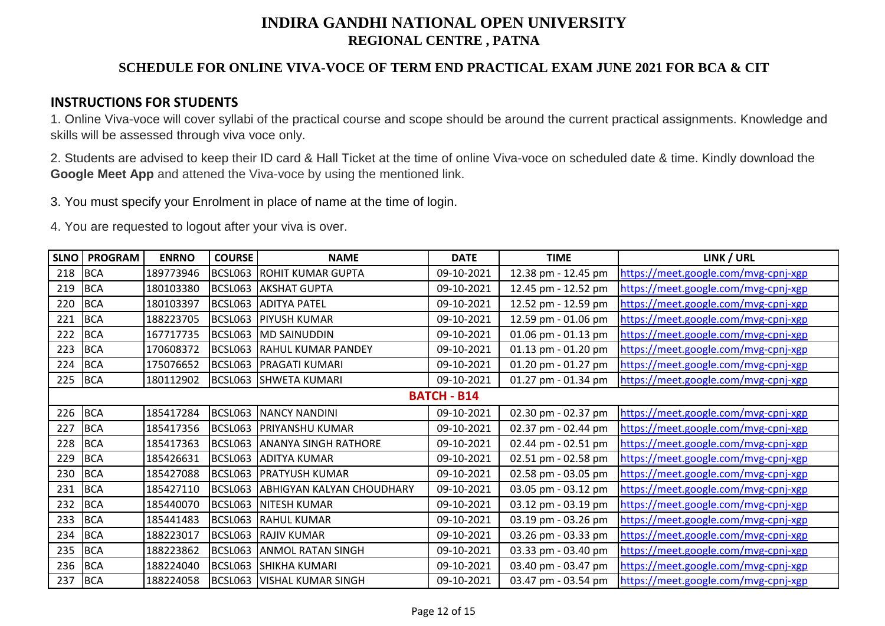## **SCHEDULE FOR ONLINE VIVA-VOCE OF TERM END PRACTICAL EXAM JUNE 2021 FOR BCA & CIT**

### **INSTRUCTIONS FOR STUDENTS**

1. Online Viva-voce will cover syllabi of the practical course and scope should be around the current practical assignments. Knowledge and skills will be assessed through viva voce only.

2. Students are advised to keep their ID card & Hall Ticket at the time of online Viva-voce on scheduled date & time. Kindly download the **Google Meet App** and attened the Viva-voce by using the mentioned link.

3. You must specify your Enrolment in place of name at the time of login.

| <b>SLNO</b> | <b>PROGRAM</b> | <b>ENRNO</b> | <b>COURSE</b> | <b>NAME</b>                      | <b>DATE</b>        | <b>TIME</b>         | LINK / URL                           |
|-------------|----------------|--------------|---------------|----------------------------------|--------------------|---------------------|--------------------------------------|
| 218         | <b>BCA</b>     | 189773946    | BCSL063       | <b>ROHIT KUMAR GUPTA</b>         | 09-10-2021         | 12.38 pm - 12.45 pm | https://meet.google.com/mvg-cpnj-xgp |
| 219         | <b>BCA</b>     | 180103380    | BCSL063       | <b>AKSHAT GUPTA</b>              | 09-10-2021         | 12.45 pm - 12.52 pm | https://meet.google.com/mvg-cpnj-xgp |
| 220         | <b>BCA</b>     | 180103397    |               | BCSL063 ADITYA PATEL             | 09-10-2021         | 12.52 pm - 12.59 pm | https://meet.google.com/mvg-cpnj-xgp |
| 221         | <b>BCA</b>     | 188223705    | BCSL063       | <b>PIYUSH KUMAR</b>              | 09-10-2021         | 12.59 pm - 01.06 pm | https://meet.google.com/mvg-cpnj-xgp |
| 222         | <b>BCA</b>     | 167717735    | BCSL063       | <b>MD SAINUDDIN</b>              | 09-10-2021         | 01.06 pm - 01.13 pm | https://meet.google.com/mvg-cpnj-xgp |
| 223         | <b>BCA</b>     | 170608372    | BCSL063       | <b>RAHUL KUMAR PANDEY</b>        | 09-10-2021         | 01.13 pm - 01.20 pm | https://meet.google.com/mvg-cpnj-xgp |
| 224         | <b>BCA</b>     | 175076652    | BCSL063       | <b>PRAGATI KUMARI</b>            | 09-10-2021         | 01.20 pm - 01.27 pm | https://meet.google.com/mvg-cpnj-xgp |
| 225         | <b>BCA</b>     | 180112902    |               | BCSL063 SHWETA KUMARI            | 09-10-2021         | 01.27 pm - 01.34 pm | https://meet.google.com/mvg-cpnj-xgp |
|             |                |              |               |                                  | <b>BATCH - B14</b> |                     |                                      |
| 226         | <b>BCA</b>     | 185417284    |               | BCSL063 NANCY NANDINI            | 09-10-2021         | 02.30 pm - 02.37 pm | https://meet.google.com/mvg-cpnj-xgp |
| 227         | <b>BCA</b>     | 185417356    |               | BCSL063   PRIYANSHU KUMAR        | 09-10-2021         | 02.37 pm - 02.44 pm | https://meet.google.com/mvg-cpnj-xgp |
| 228         | <b>BCA</b>     | 185417363    | BCSL063       | <b>ANANYA SINGH RATHORE</b>      | 09-10-2021         | 02.44 pm - 02.51 pm | https://meet.google.com/mvg-cpnj-xgp |
| 229         | <b>BCA</b>     | 185426631    | BCSL063       | <b>ADITYA KUMAR</b>              | 09-10-2021         | 02.51 pm - 02.58 pm | https://meet.google.com/mvg-cpnj-xgp |
| 230         | <b>BCA</b>     | 185427088    |               | BCSL063 PRATYUSH KUMAR           | 09-10-2021         | 02.58 pm - 03.05 pm | https://meet.google.com/mvg-cpnj-xgp |
| 231         | <b>BCA</b>     | 185427110    | BCSL063       | <b>ABHIGYAN KALYAN CHOUDHARY</b> | 09-10-2021         | 03.05 pm - 03.12 pm | https://meet.google.com/mvg-cpnj-xgp |
| 232         | <b>BCA</b>     | 185440070    | BCSL063       | <b>NITESH KUMAR</b>              | 09-10-2021         | 03.12 pm - 03.19 pm | https://meet.google.com/mvg-cpnj-xgp |
| 233         | <b>BCA</b>     | 185441483    | BCSL063       | <b>RAHUL KUMAR</b>               | 09-10-2021         | 03.19 pm - 03.26 pm | https://meet.google.com/mvg-cpnj-xgp |
| 234         | <b>BCA</b>     | 188223017    | BCSL063       | <b>RAJIV KUMAR</b>               | 09-10-2021         | 03.26 pm - 03.33 pm | https://meet.google.com/mvg-cpnj-xgp |
| 235         | <b>BCA</b>     | 188223862    | BCSL063       | <b>ANMOL RATAN SINGH</b>         | 09-10-2021         | 03.33 pm - 03.40 pm | https://meet.google.com/mvg-cpnj-xgp |
| 236         | <b>BCA</b>     | 188224040    | BCSL063       | <b>SHIKHA KUMARI</b>             | 09-10-2021         | 03.40 pm - 03.47 pm | https://meet.google.com/mvg-cpnj-xgp |
| 237         | <b>BCA</b>     | 188224058    |               | BCSL063   VISHAL KUMAR SINGH     | 09-10-2021         | 03.47 pm - 03.54 pm | https://meet.google.com/mvg-cpnj-xgp |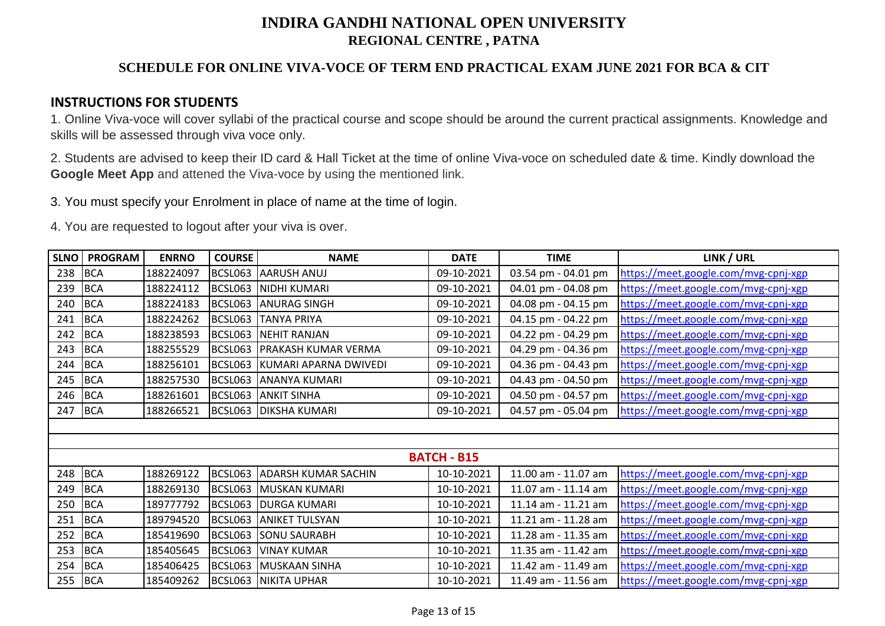## **SCHEDULE FOR ONLINE VIVA-VOCE OF TERM END PRACTICAL EXAM JUNE 2021 FOR BCA & CIT**

### **INSTRUCTIONS FOR STUDENTS**

1. Online Viva-voce will cover syllabi of the practical course and scope should be around the current practical assignments. Knowledge and skills will be assessed through viva voce only.

2. Students are advised to keep their ID card & Hall Ticket at the time of online Viva-voce on scheduled date & time. Kindly download the **Google Meet App** and attened the Viva-voce by using the mentioned link.

3. You must specify your Enrolment in place of name at the time of login.

| <b>SLNO</b>        | <b>PROGRAM</b> | <b>ENRNO</b> | <b>COURSE</b> | <b>NAME</b>                   | <b>DATE</b> | <b>TIME</b>         | LINK / URL                           |
|--------------------|----------------|--------------|---------------|-------------------------------|-------------|---------------------|--------------------------------------|
| 238                | <b>BCA</b>     | 188224097    | BCSL063       | <b>AARUSH ANUJ</b>            | 09-10-2021  | 03.54 pm - 04.01 pm | https://meet.google.com/mvg-cpnj-xgp |
| 239                | <b>BCA</b>     | 188224112    | BCSL063       | NIDHI KUMARI                  | 09-10-2021  | 04.01 pm - 04.08 pm | https://meet.google.com/mvg-cpnj-xgp |
| 240                | <b>BCA</b>     | 188224183    |               | BCSL063 ANURAG SINGH          | 09-10-2021  | 04.08 pm - 04.15 pm | https://meet.google.com/mvg-cpnj-xgp |
| 241                | <b>BCA</b>     | 188224262    | BCSL063       | <b>TANYA PRIYA</b>            | 09-10-2021  | 04.15 pm - 04.22 pm | https://meet.google.com/mvg-cpnj-xgp |
| 242                | <b>BCA</b>     | 188238593    | BCSL063       | <b>NEHIT RANJAN</b>           | 09-10-2021  | 04.22 pm - 04.29 pm | https://meet.google.com/mvg-cpnj-xgp |
| 243                | <b>BCA</b>     | 188255529    |               | BCSL063 PRAKASH KUMAR VERMA   | 09-10-2021  | 04.29 pm - 04.36 pm | https://meet.google.com/mvg-cpnj-xgp |
| 244                | <b>BCA</b>     | 188256101    |               | BCSL063 KUMARI APARNA DWIVEDI | 09-10-2021  | 04.36 pm - 04.43 pm | https://meet.google.com/mvg-cpnj-xgp |
| 245                | <b>BCA</b>     | 188257530    | BCSL063       | <b>ANANYA KUMARI</b>          | 09-10-2021  | 04.43 pm - 04.50 pm | https://meet.google.com/mvg-cpnj-xgp |
| 246                | <b>BCA</b>     | 188261601    | BCSL063       | <b>ANKIT SINHA</b>            | 09-10-2021  | 04.50 pm - 04.57 pm | https://meet.google.com/mvg-cpnj-xgp |
| 247                | <b>BCA</b>     | 188266521    |               | BCSL063 DIKSHA KUMARI         | 09-10-2021  | 04.57 pm - 05.04 pm | https://meet.google.com/mvg-cpnj-xgp |
|                    |                |              |               |                               |             |                     |                                      |
|                    |                |              |               |                               |             |                     |                                      |
| <b>BATCH - B15</b> |                |              |               |                               |             |                     |                                      |
| 248                | <b>BCA</b>     | 188269122    |               | BCSL063 ADARSH KUMAR SACHIN   | 10-10-2021  | 11.00 am - 11.07 am | https://meet.google.com/mvg-cpnj-xgp |
| 249                | <b>BCA</b>     | 188269130    | BCSL063       | MUSKAN KUMARI                 | 10-10-2021  | 11.07 am - 11.14 am | https://meet.google.com/mvg-cpnj-xgp |
| 250                | <b>BCA</b>     | 189777792    |               | BCSL063 DURGA KUMARI          | 10-10-2021  | 11.14 am - 11.21 am | https://meet.google.com/mvg-cpnj-xgp |
| 251                | <b>BCA</b>     | 189794520    | BCSL063       | <b>ANIKET TULSYAN</b>         | 10-10-2021  | 11.21 am - 11.28 am | https://meet.google.com/mvg-cpnj-xgp |
| 252                | <b>BCA</b>     | 185419690    | BCSL063       | <b>SONU SAURABH</b>           | 10-10-2021  | 11.28 am - 11.35 am | https://meet.google.com/mvg-cpnj-xgp |
| 253                | <b>BCA</b>     | 185405645    | BCSL063       | <b>VINAY KUMAR</b>            | 10-10-2021  | 11.35 am - 11.42 am | https://meet.google.com/mvg-cpnj-xgp |
| 254                | <b>BCA</b>     | 185406425    |               | BCSL063 MUSKAAN SINHA         | 10-10-2021  | 11.42 am - 11.49 am | https://meet.google.com/mvg-cpnj-xgp |
| 255                | <b>BCA</b>     | 185409262    |               | <b>BCSL063 NIKITA UPHAR</b>   | 10-10-2021  | 11.49 am - 11.56 am | https://meet.google.com/mvg-cpnj-xgp |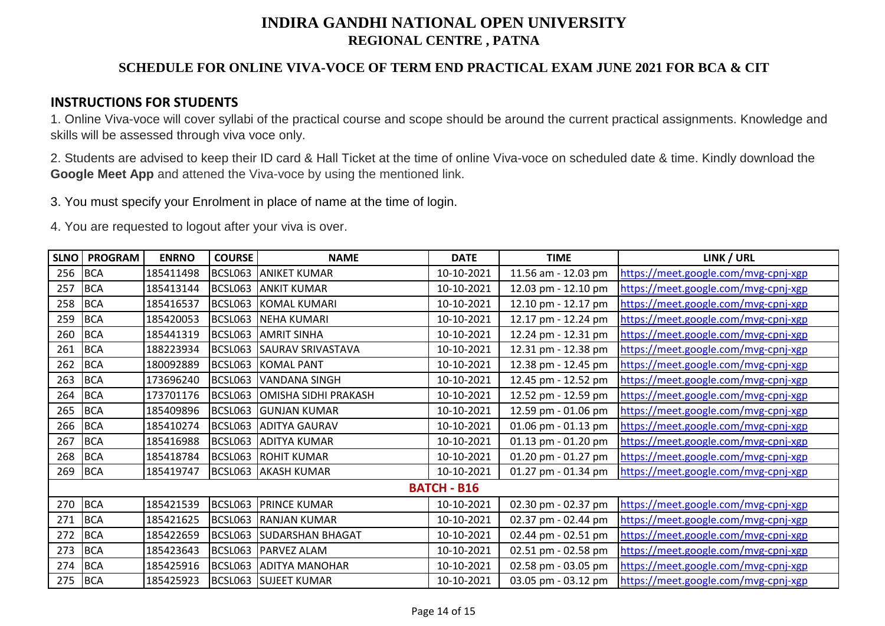## **SCHEDULE FOR ONLINE VIVA-VOCE OF TERM END PRACTICAL EXAM JUNE 2021 FOR BCA & CIT**

### **INSTRUCTIONS FOR STUDENTS**

1. Online Viva-voce will cover syllabi of the practical course and scope should be around the current practical assignments. Knowledge and skills will be assessed through viva voce only.

2. Students are advised to keep their ID card & Hall Ticket at the time of online Viva-voce on scheduled date & time. Kindly download the **Google Meet App** and attened the Viva-voce by using the mentioned link.

3. You must specify your Enrolment in place of name at the time of login.

| <b>SLNO</b>        | <b>PROGRAM</b> | <b>ENRNO</b> | <b>COURSE</b> | <b>NAME</b>                  | <b>DATE</b> | <b>TIME</b>         | LINK / URL                           |
|--------------------|----------------|--------------|---------------|------------------------------|-------------|---------------------|--------------------------------------|
| 256                | <b>BCA</b>     | 185411498    |               | BCSL063 ANIKET KUMAR         | 10-10-2021  | 11.56 am - 12.03 pm | https://meet.google.com/mvg-cpnj-xgp |
| 257                | <b>BCA</b>     | 185413144    | BCSL063       | <b>ANKIT KUMAR</b>           | 10-10-2021  | 12.03 pm - 12.10 pm | https://meet.google.com/mvg-cpnj-xgp |
| 258                | <b>BCA</b>     | 185416537    |               | BCSL063 KOMAL KUMARI         | 10-10-2021  | 12.10 pm - 12.17 pm | https://meet.google.com/mvg-cpnj-xgp |
| 259                | <b>BCA</b>     | 185420053    |               | BCSL063 NEHA KUMARI          | 10-10-2021  | 12.17 pm - 12.24 pm | https://meet.google.com/mvg-cpnj-xgp |
| 260                | <b>BCA</b>     | 185441319    | BCSL063       | <b>AMRIT SINHA</b>           | 10-10-2021  | 12.24 pm - 12.31 pm | https://meet.google.com/mvg-cpnj-xgp |
| 261                | <b>BCA</b>     | 188223934    |               | BCSL063 SAURAV SRIVASTAVA    | 10-10-2021  | 12.31 pm - 12.38 pm | https://meet.google.com/mvg-cpnj-xgp |
| 262                | <b>BCA</b>     | 180092889    |               | BCSL063 KOMAL PANT           | 10-10-2021  | 12.38 pm - 12.45 pm | https://meet.google.com/mvg-cpnj-xgp |
| 263                | <b>BCA</b>     | 173696240    | BCSL063       | VANDANA SINGH                | 10-10-2021  | 12.45 pm - 12.52 pm | https://meet.google.com/mvg-cpnj-xgp |
| 264                | <b>BCA</b>     | 173701176    |               | BCSL063 OMISHA SIDHI PRAKASH | 10-10-2021  | 12.52 pm - 12.59 pm | https://meet.google.com/mvg-cpnj-xgp |
| 265                | <b>BCA</b>     | 185409896    |               | BCSL063 GUNJAN KUMAR         | 10-10-2021  | 12.59 pm - 01.06 pm | https://meet.google.com/mvg-cpnj-xgp |
| 266                | <b>BCA</b>     | 185410274    |               | <b>BCSL063 ADITYA GAURAV</b> | 10-10-2021  | 01.06 pm - 01.13 pm | https://meet.google.com/mvg-cpnj-xgp |
| 267                | <b>BCA</b>     | 185416988    |               | BCSL063 ADITYA KUMAR         | 10-10-2021  | 01.13 pm - 01.20 pm | https://meet.google.com/mvg-cpnj-xgp |
| 268                | <b>BCA</b>     | 185418784    |               | <b>BCSL063 ROHIT KUMAR</b>   | 10-10-2021  | 01.20 pm - 01.27 pm | https://meet.google.com/mvg-cpnj-xgp |
| 269                | <b>BCA</b>     | 185419747    |               | BCSL063 AKASH KUMAR          | 10-10-2021  | 01.27 pm - 01.34 pm | https://meet.google.com/mvg-cpnj-xgp |
| <b>BATCH - B16</b> |                |              |               |                              |             |                     |                                      |
| 270                | <b>BCA</b>     | 185421539    |               | <b>BCSL063 PRINCE KUMAR</b>  | 10-10-2021  | 02.30 pm - 02.37 pm | https://meet.google.com/mvg-cpnj-xgp |
| 271                | <b>BCA</b>     | 185421625    |               | <b>BCSL063 RANJAN KUMAR</b>  | 10-10-2021  | 02.37 pm - 02.44 pm | https://meet.google.com/mvg-cpnj-xgp |
| 272                | <b>BCA</b>     | 185422659    |               | BCSL063 SUDARSHAN BHAGAT     | 10-10-2021  | 02.44 pm - 02.51 pm | https://meet.google.com/mvg-cpnj-xgp |
| 273                | <b>BCA</b>     | 185423643    | BCSL063       | <b>PARVEZ ALAM</b>           | 10-10-2021  | 02.51 pm - 02.58 pm | https://meet.google.com/mvg-cpnj-xgp |
| 274                | <b>BCA</b>     | 185425916    |               | BCSL063 ADITYA MANOHAR       | 10-10-2021  | 02.58 pm - 03.05 pm | https://meet.google.com/mvg-cpnj-xgp |
| 275                | <b>BCA</b>     | 185425923    |               | <b>BCSL063 SUJEET KUMAR</b>  | 10-10-2021  | 03.05 pm - 03.12 pm | https://meet.google.com/mvg-cpnj-xgp |